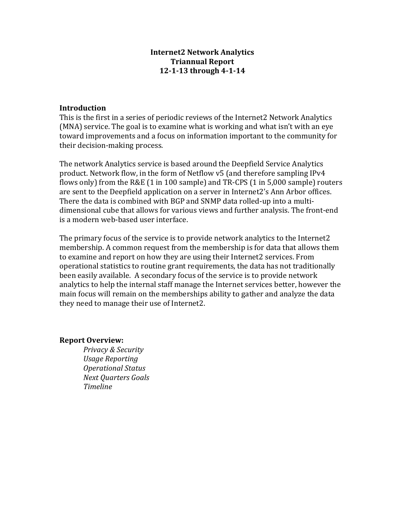## **Internet2 Network Analytics Triannual Report 12-1-13 through 4-1-14**

### **Introduction**

This is the first in a series of periodic reviews of the Internet2 Network Analytics (MNA) service. The goal is to examine what is working and what isn't with an eye toward improvements and a focus on information important to the community for their decision-making process.

The network Analytics service is based around the Deepfield Service Analytics product. Network flow, in the form of Netflow  $v5$  (and therefore sampling IPv4 flows only) from the  $R\&E(1 \text{ in } 100 \text{ sample})$  and TR-CPS  $(1 \text{ in } 5,000 \text{ sample})$  routers are sent to the Deepfield application on a server in Internet2's Ann Arbor offices. There the data is combined with BGP and SNMP data rolled-up into a multidimensional cube that allows for various views and further analysis. The front-end is a modern web-based user interface.

The primary focus of the service is to provide network analytics to the Internet2 membership. A common request from the membership is for data that allows them to examine and report on how they are using their Internet2 services. From operational statistics to routine grant requirements, the data has not traditionally been easily available. A secondary focus of the service is to provide network analytics to help the internal staff manage the Internet services better, however the main focus will remain on the memberships ability to gather and analyze the data they need to manage their use of Internet2.

#### **Report Overview:**

*Privacy & Security Usage Reporting Operational Status Next Quarters Goals Timeline*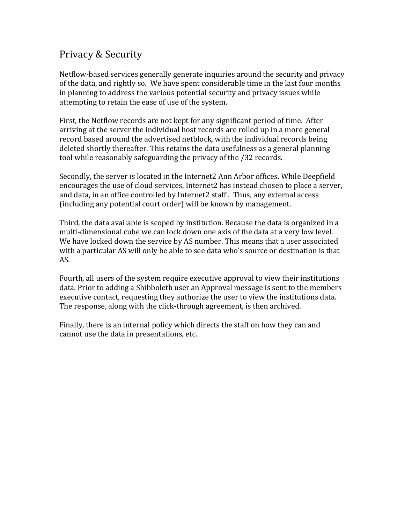# Privacy & Security

Netflow-based services generally generate inquiries around the security and privacy of the data, and rightly so. We have spent considerable time in the last four months in planning to address the various potential security and privacy issues while attempting to retain the ease of use of the system.

First, the Netflow records are not kept for any significant period of time. After arriving at the server the individual host records are rolled up in a more general record based around the advertised netblock, with the individual records being deleted shortly thereafter. This retains the data usefulness as a general planning tool while reasonably safeguarding the privacy of the  $/32$  records.

Secondly, the server is located in the Internet2 Ann Arbor offices. While Deepfield encourages the use of cloud services, Internet2 has instead chosen to place a server, and data, in an office controlled by Internet2 staff. Thus, any external access (including any potential court order) will be known by management.

Third, the data available is scoped by institution. Because the data is organized in a multi-dimensional cube we can lock down one axis of the data at a very low level. We have locked down the service by AS number. This means that a user associated with a particular AS will only be able to see data who's source or destination is that AS. 

Fourth, all users of the system require executive approval to view their institutions data. Prior to adding a Shibboleth user an Approval message is sent to the members executive contact, requesting they authorize the user to view the institutions data. The response, along with the click-through agreement, is then archived.

Finally, there is an internal policy which directs the staff on how they can and cannot use the data in presentations, etc.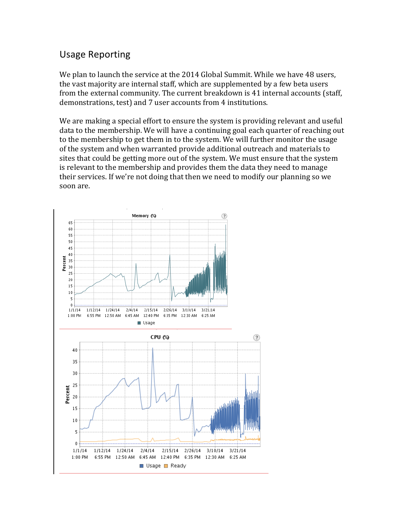## Usage Reporting

We plan to launch the service at the 2014 Global Summit. While we have 48 users, the vast majority are internal staff, which are supplemented by a few beta users from the external community. The current breakdown is 41 internal accounts (staff, demonstrations, test) and 7 user accounts from 4 institutions.

We are making a special effort to ensure the system is providing relevant and useful data to the membership. We will have a continuing goal each quarter of reaching out to the membership to get them in to the system. We will further monitor the usage of the system and when warranted provide additional outreach and materials to sites that could be getting more out of the system. We must ensure that the system is relevant to the membership and provides them the data they need to manage their services. If we're not doing that then we need to modify our planning so we soon are.

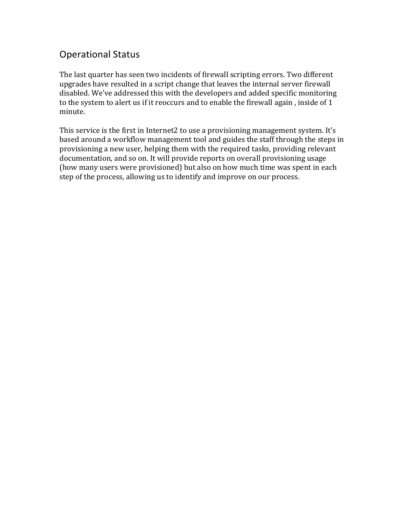# **Operational Status**

The last quarter has seen two incidents of firewall scripting errors. Two different upgrades have resulted in a script change that leaves the internal server firewall disabled. We've addressed this with the developers and added specific monitoring to the system to alert us if it reoccurs and to enable the firewall again, inside of  $1$ minute.

This service is the first in Internet2 to use a provisioning management system. It's based around a workflow management tool and guides the staff through the steps in provisioning a new user, helping them with the required tasks, providing relevant documentation, and so on. It will provide reports on overall provisioning usage (how many users were provisioned) but also on how much time was spent in each step of the process, allowing us to identify and improve on our process.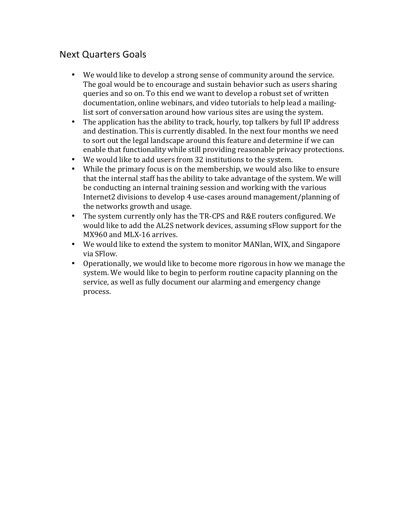# **Next Quarters Goals**

- We would like to develop a strong sense of community around the service. The goal would be to encourage and sustain behavior such as users sharing queries and so on. To this end we want to develop a robust set of written documentation, online webinars, and video tutorials to help lead a mailinglist sort of conversation around how various sites are using the system.
- The application has the ability to track, hourly, top talkers by full IP address and destination. This is currently disabled. In the next four months we need to sort out the legal landscape around this feature and determine if we can enable that functionality while still providing reasonable privacy protections.
- We would like to add users from 32 institutions to the system.
- While the primary focus is on the membership, we would also like to ensure that the internal staff has the ability to take advantage of the system. We will be conducting an internal training session and working with the various Internet2 divisions to develop 4 use-cases around management/planning of the networks growth and usage.
- The system currently only has the TR-CPS and R&E routers configured. We would like to add the AL2S network devices, assuming sFlow support for the MX960 and MLX-16 arrives.
- We would like to extend the system to monitor MANlan, WIX, and Singapore via SFlow.
- Operationally, we would like to become more rigorous in how we manage the system. We would like to begin to perform routine capacity planning on the service, as well as fully document our alarming and emergency change process.